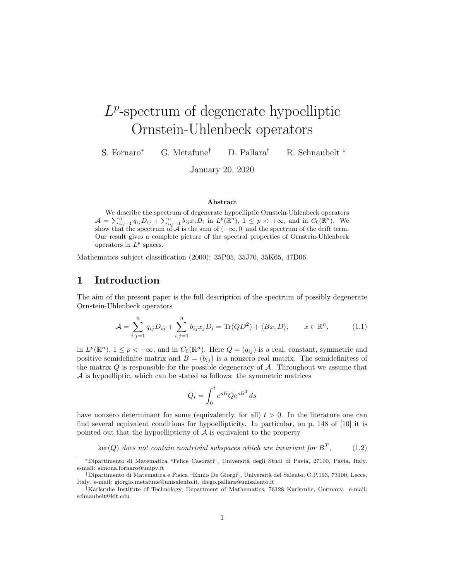# $L^p$ -spectrum of degenerate hypoelliptic Ornstein-Uhlenbeck operators

S. Fornaro<sup>∗</sup> G. Metafune† D. Pallara† R. Schnaubelt ‡

January 20, 2020

#### Abstract

We describe the spectrum of degenerate hypoelliptic Ornstein-Uhlenbeck operators  $\mathcal{A} = \sum_{i,j=1}^n q_{ij} D_{ij} + \sum_{i,j=1}^n b_{ij} x_j D_i$  in  $L^p(\mathbb{R}^n)$ ,  $1 \le p < +\infty$ , and in  $C_0(\mathbb{R}^n)$ . We show that the spectrum of A is the sum of  $(-\infty, 0]$  and the spectrum of the drift term. Our result gives a complete picture of the spectral properties of Ornstein-Uhlenbeck operators in  $L^p$  spaces.

Mathematics subject classification (2000): 35P05, 35J70, 35K65, 47D06.

## 1 Introduction

The aim of the present paper is the full description of the spectrum of possibly degenerate Ornstein-Uhlenbeck operators

$$
\mathcal{A} = \sum_{i,j=1}^n q_{ij} D_{ij} + \sum_{i,j=1}^n b_{ij} x_j D_i = \text{Tr}(QD^2) + \langle Bx, D \rangle, \qquad x \in \mathbb{R}^n,
$$
 (1.1)

in  $L^p(\mathbb{R}^n)$ ,  $1 \leq p < +\infty$ , and in  $C_0(\mathbb{R}^n)$ . Here  $Q = (q_{ij})$  is a real, constant, symmetric and positive semidefinite matrix and  $B = (b_{ij})$  is a nonzero real matrix. The semidefinitess of the matrix  $Q$  is responsible for the possible degeneracy of  $A$ . Throughout we assume that A is hypoelliptic, which can be stated as follows: the symmetric matrices

$$
Q_t = \int_0^t e^{sB} Q e^{sB^T} ds
$$

have nonzero determinant for some (equivalently, for all)  $t > 0$ . In the literature one can find several equivalent conditions for hypoellipticity. In particular, on p. 148 of [10] it is pointed out that the hypoellipticity of  $A$  is equivalent to the property

 $\ker(Q)$  does not contain nontrivial subspaces which are invariant for  $B^T$  $(1.2)$ 

<sup>∗</sup>Dipartimento di Matematica "Felice Casorati", Universit`a degli Studi di Pavia, 27100, Pavia, Italy. e-mail: simona.fornaro@unipv.it

<sup>†</sup>Dipartimento di Matematica e Fisica "Ennio De Giorgi", Universit`a del Salento, C.P.193, 73100, Lecce, Italy. e-mail: giorgio.metafune@unisalento.it, diego.pallara@unisalento.it

<sup>‡</sup>Karlsruhe Institute of Technology, Department of Mathematics, 76128 Karlsruhe, Germany. e-mail: schnaubelt@kit.edu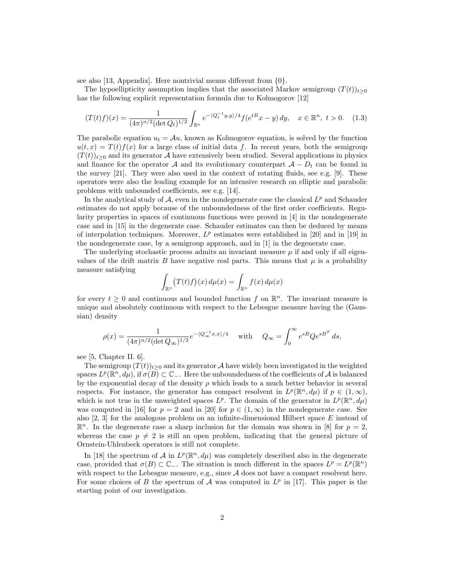see also [13, Appendix]. Here nontrivial means different from {0}.

The hypoellipticity assumption implies that the associated Markov semigroup  $(T(t))_{t\geq0}$ has the following explicit representation formula due to Kolmogorov [12]

$$
(T(t)f)(x) = \frac{1}{(4\pi)^{n/2}(\det Q_t)^{1/2}} \int_{\mathbb{R}^n} e^{-\langle Q_t^{-1}y, y \rangle/4} f(e^{tB}x - y) \, dy, \quad x \in \mathbb{R}^n, \ t > 0. \tag{1.3}
$$

The parabolic equation  $u_t = Au$ , known as Kolmogorov equation, is solved by the function  $u(t, x) = T(t) f(x)$  for a large class of initial data f. In recent years, both the semigroup  $(T(t))_{t\geq0}$  and its generator A have extensively been studied. Several applications in physics and finance for the operator A and its evolutionary counterpart  $A - D_t$  can be found in the survey [21]. They were also used in the context of rotating fluids, see e.g. [9]. These operators were also the leading example for an intensive research on elliptic and parabolic problems with unbounded coefficients, see e.g. [14].

In the analytical study of  $A$ , even in the nondegenerate case the classical  $L^p$  and Schauder estimates do not apply because of the unboundedness of the first order coefficients. Regularity properties in spaces of continuous functions were proved in [4] in the nondegenerate case and in [15] in the degenerate case. Schauder estimates can then be deduced by means of interpolation techniques. Moreover,  $L^p$  estimates were established in [20] and in [19] in the nondegenerate case, by a semigroup approach, and in [1] in the degenerate case.

The underlying stochastic process admits an invariant measure  $\mu$  if and only if all eigenvalues of the drift matrix B have negative real parts. This means that  $\mu$  is a probability measure satisfying

$$
\int_{\mathbb{R}^n} (T(t)f)(x) d\mu(x) = \int_{\mathbb{R}^n} f(x) d\mu(x)
$$

for every  $t \geq 0$  and continuous and bounded function f on  $\mathbb{R}^n$ . The invariant measure is unique and absolutely continuous with respect to the Lebesgue measure having the (Gaussian) density

$$
\rho(x) = \frac{1}{(4\pi)^{n/2} (\det Q_{\infty})^{1/2}} e^{-(Q_{\infty}^{-1}x, x)/4} \quad \text{with} \quad Q_{\infty} = \int_0^{\infty} e^{sB} Q e^{sB^T} ds,
$$

see [5, Chapter II. 6].

The semigroup  $(T(t))_{t\geq0}$  and its generator A have widely been investigated in the weighted spaces  $L^p(\mathbb{R}^n,d\mu)$ , if  $\sigma(\overline{B})\subset\mathbb{C}_-$ . Here the unboundedness of the coefficients of A is balanced by the exponential decay of the density  $\rho$  which leads to a much better behavior in several respects. For instance, the generator has compact resolvent in  $L^p(\mathbb{R}^n, d\mu)$  if  $p \in (1, \infty)$ , which is not true in the unweighted spaces  $L^p$ . The domain of the generator in  $L^p(\mathbb{R}^n, d\mu)$ was computed in [16] for  $p = 2$  and in [20] for  $p \in (1, \infty)$  in the nondegenerate case. See also  $[2, 3]$  for the analogous problem on an infinite-dimensional Hilbert space E instead of  $\mathbb{R}^n$ . In the degenerate case a sharp inclusion for the domain was shown in [8] for  $p=2$ , whereas the case  $p \neq 2$  is still an open problem, indicating that the general picture of Ornstein-Uhlenbeck operators is still not complete.

In [18] the spectrum of A in  $L^p(\mathbb{R}^n, d\mu)$  was completely described also in the degenerate case, provided that  $\sigma(B) \subset \mathbb{C}_-$ . The situation is much different in the spaces  $L^p = L^p(\mathbb{R}^n)$ with respect to the Lebesgue measure, e.g., since  $A$  does not have a compact resolvent here. For some choices of B the spectrum of A was computed in  $L^p$  in [17]. This paper is the starting point of our investigation.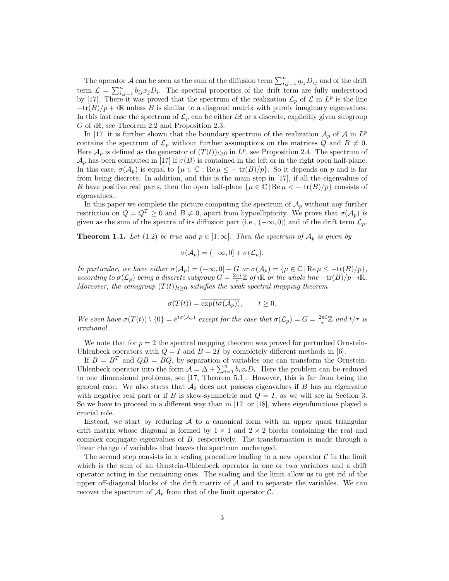The operator A can be seen as the sum of the diffusion term  $\sum_{i,j=1}^{n} q_{ij}D_{ij}$  and of the drift term  $\mathcal{L} = \sum_{i,j=1}^n b_{ij} x_j D_i$ . The spectral properties of the drift term are fully understood by [17]. There it was proved that the spectrum of the realization  $\mathcal{L}_p$  of  $\mathcal L$  in  $L^p$  is the line  $-\text{tr}(B)/p + i\mathbb{R}$  unless B is similar to a diagonal matrix with purely imaginary eigenvalues. In this last case the spectrum of  $\mathcal{L}_p$  can be either iR or a discrete, explicitly given subgroup G of iR, see Theorem 2.2 and Proposition 2.3.

In [17] it is further shown that the boundary spectrum of the realization  $\mathcal{A}_p$  of  $\mathcal{A}$  in  $L^p$ contains the spectrum of  $\mathcal{L}_p$  without further assumptions on the matrices Q and  $B \neq 0$ . Here  $\mathcal{A}_p$  is defined as the generator of  $(T(t))_{t\geq0}$  in  $L^p$ , see Proposition 2.4. The spectrum of  $\mathcal{A}_p$  has been computed in [17] if  $\sigma(B)$  is contained in the left or in the right open half-plane. In this case,  $\sigma(\mathcal{A}_p)$  is equal to  $\{\mu \in \mathbb{C} : \text{Re}\,\mu \leq -\text{tr}(B)/p\}$ . So it depends on p and is far from being discrete. In addition, and this is the main step in [17], if all the eigenvalues of B have positive real parts, then the open half-plane  $\{\mu \in \mathbb{C} \mid \text{Re}\,\mu \leq -\text{tr}(B)/p\}$  consists of eigenvalues.

In this paper we complete the picture computing the spectrum of  $\mathcal{A}_p$  without any further restriction on  $Q = Q^T \geq 0$  and  $B \neq 0$ , apart from hypoellipticity. We prove that  $\sigma(A_p)$  is given as the sum of the spectra of its diffusion part (i.e.,  $(-\infty, 0]$ ) and of the drift term  $\mathcal{L}_p$ .

**Theorem 1.1.** Let (1.2) be true and  $p \in [1,\infty]$ . Then the spectrum of  $\mathcal{A}_p$  is given by

$$
\sigma(\mathcal{A}_p) = (-\infty, 0] + \sigma(\mathcal{L}_p).
$$

In particular, we have either  $\sigma(A_p) = (-\infty, 0] + G$  or  $\sigma(A_p) = {\mu \in \mathbb{C} | \text{Re } \mu \leq -\text{tr}(B)/p},$ according to  $\sigma(\mathcal{L}_p)$  being a discrete subgroup  $G = \frac{2\pi i}{\tau} \mathbb{Z}$  of i $\mathbb{R}$  or the whole line  $-\text{tr}(B)/p+i\mathbb{R}$ . Moreover, the semigroup  $(T(t))_{t\geq0}$  satisfies the weak spectral mapping theorem

$$
\sigma(T(t)) = \overline{\exp(t\sigma(\mathcal{A}_p))}, \qquad t \ge 0.
$$

We even have  $\sigma(T(t)) \setminus \{0\} = e^{t\sigma(A_p)}$  except for the case that  $\sigma(\mathcal{L}_p) = G = \frac{2\pi i}{\tau} \mathbb{Z}$  and  $t/\tau$  is irrational.

We note that for  $p = 2$  the spectral mapping theorem was proved for perturbed Ornstein-Uhlenbeck operators with  $Q = I$  and  $B = 2I$  by completely different methods in [6].

If  $B = B<sup>T</sup>$  and  $QB = BQ$ , by separation of variables one can transform the Ornstein-Uhlenbeck operator into the form  $A = \Delta + \sum_{i=1}^{n} b_i x_i D_i$ . Here the problem can be reduced to one dimensional problems, see [17, Theorem 5.1]. However, this is far from being the general case. We also stress that  $A_2$  does not possess eigenvalues if B has an eigenvalue with negative real part or if B is skew-symmetric and  $Q = I$ , as we will see in Section 3. So we have to proceed in a different way than in [17] or [18], where eigenfunctions played a crucial role.

Instead, we start by reducing  $A$  to a canonical form with an upper quasi triangular drift matrix whose diagonal is formed by  $1 \times 1$  and  $2 \times 2$  blocks containing the real and complex conjugate eigenvalues of B, respectively. The transformation is made through a linear change of variables that leaves the spectrum unchanged.

The second step consists in a scaling procedure leading to a new operator  $\mathcal C$  in the limit which is the sum of an Ornstein-Uhlenbeck operator in one or two variables and a drift operator acting in the remaining ones. The scaling and the limit allow us to get rid of the upper off-diagonal blocks of the drift matrix of  $A$  and to separate the variables. We can recover the spectrum of  $\mathcal{A}_p$  from that of the limit operator  $\mathcal{C}$ .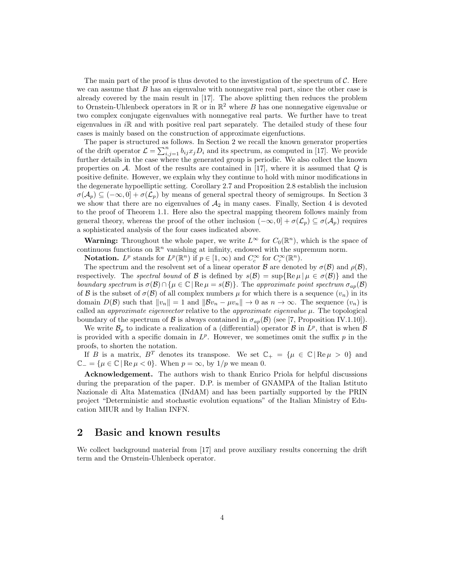The main part of the proof is thus devoted to the investigation of the spectrum of  $\mathcal{C}$ . Here we can assume that  $B$  has an eigenvalue with nonnegative real part, since the other case is already covered by the main result in [17]. The above splitting then reduces the problem to Ornstein-Uhlenbeck operators in  $\mathbb R$  or in  $\mathbb R^2$  where B has one nonnegative eigenvalue or two complex conjugate eigenvalues with nonnegative real parts. We further have to treat eigenvalues in  $i\mathbb{R}$  and with positive real part separately. The detailed study of these four cases is mainly based on the construction of approximate eigenfuctions.

The paper is structured as follows. In Section 2 we recall the known generator properties of the drift operator  $\mathcal{L} = \sum_{i,j=1}^n b_{ij} x_j D_i$  and its spectrum, as computed in [17]. We provide further details in the case where the generated group is periodic. We also collect the known properties on  $A$ . Most of the results are contained in [17], where it is assumed that  $Q$  is positive definite. However, we explain why they continue to hold with minor modifications in the degenerate hypoelliptic setting. Corollary 2.7 and Proposition 2.8 establish the inclusion  $\sigma(\mathcal{A}_p) \subseteq (-\infty, 0] + \sigma(\mathcal{L}_p)$  by means of general spectral theory of semigroups. In Section 3 we show that there are no eigenvalues of  $A_2$  in many cases. Finally, Section 4 is devoted to the proof of Theorem 1.1. Here also the spectral mapping theorem follows mainly from general theory, whereas the proof of the other inclusion  $(-\infty, 0] + \sigma(\mathcal{L}_p) \subseteq \sigma(\mathcal{A}_p)$  requires a sophisticated analysis of the four cases indicated above.

**Warning:** Throughout the whole paper, we write  $L^{\infty}$  for  $C_0(\mathbb{R}^n)$ , which is the space of continuous functions on  $\mathbb{R}^n$  vanishing at infinity, endowed with the supremum norm.

**Notation.**  $L^p$  stands for  $L^p(\mathbb{R}^n)$  if  $p \in [1,\infty)$  and  $C_c^{\infty}$  for  $C_c^{\infty}(\mathbb{R}^n)$ .

The spectrum and the resolvent set of a linear operator B are denoted by  $\sigma(\mathcal{B})$  and  $\rho(\mathcal{B})$ , respectively. The spectral bound of B is defined by  $s(\mathcal{B}) = \sup \{ \text{Re } \mu \mid \mu \in \sigma(\mathcal{B}) \}$  and the boundary spectrum is  $\sigma(\mathcal{B}) \cap {\mu \in \mathbb{C} \mid \text{Re } \mu = s(\mathcal{B})\}.$  The approximate point spectrum  $\sigma_{ap}(\mathcal{B})$ of B is the subset of  $\sigma(\mathcal{B})$  of all complex numbers  $\mu$  for which there is a sequence  $(v_n)$  in its domain  $D(\mathcal{B})$  such that  $||v_n|| = 1$  and  $||\mathcal{B}v_n - \mu v_n|| \to 0$  as  $n \to \infty$ . The sequence  $(v_n)$  is called an *approximate eigenvector* relative to the *approximate eigenvalue*  $\mu$ . The topological boundary of the spectrum of B is always contained in  $\sigma_{ap}(\mathcal{B})$  (see [7, Proposition IV.1.10]).

We write  $\mathcal{B}_p$  to indicate a realization of a (differential) operator  $\mathcal{B}$  in  $L^p$ , that is when  $\mathcal{B}$ is provided with a specific domain in  $L^p$ . However, we sometimes omit the suffix p in the proofs, to shorten the notation.

If B is a matrix,  $B^T$  denotes its transpose. We set  $\mathbb{C}_+ = {\mu \in \mathbb{C} | \text{Re } \mu > 0 }$  and  $\mathbb{C}_{-} = \{\mu \in \mathbb{C} \mid \text{Re } \mu < 0\}.$  When  $p = \infty$ , by  $1/p$  we mean 0.

Acknowledgement. The authors wish to thank Enrico Priola for helpful discussions during the preparation of the paper. D.P. is member of GNAMPA of the Italian Istituto Nazionale di Alta Matematica (INdAM) and has been partially supported by the PRIN project "Deterministic and stochastic evolution equations" of the Italian Ministry of Education MIUR and by Italian INFN.

### 2 Basic and known results

We collect background material from [17] and prove auxiliary results concerning the drift term and the Ornstein-Uhlenbeck operator.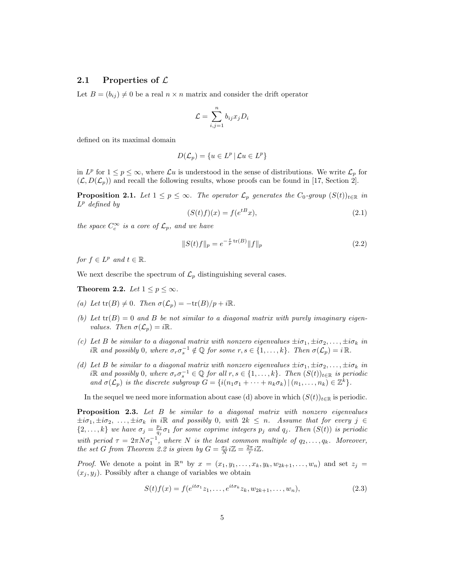#### 2.1 Properties of  $\mathcal L$

Let  $B = (b_{ij}) \neq 0$  be a real  $n \times n$  matrix and consider the drift operator

$$
\mathcal{L} = \sum_{i,j=1}^{n} b_{ij} x_j D_i
$$

defined on its maximal domain

$$
D(\mathcal{L}_p) = \{ u \in L^p \, | \, \mathcal{L}u \in L^p \}
$$

in  $L^p$  for  $1 \leq p \leq \infty$ , where  $\mathcal{L}u$  is understood in the sense of distributions. We write  $\mathcal{L}_p$  for  $(\mathcal{L}, D(\mathcal{L}_p))$  and recall the following results, whose proofs can be found in [17, Section 2].

**Proposition 2.1.** Let  $1 \leq p \leq \infty$ . The operator  $\mathcal{L}_p$  generates the  $C_0$ -group  $(S(t))_{t \in \mathbb{R}}$  in  $L^p$  defined by

$$
(S(t)f)(x) = f(e^{tB}x),\tag{2.1}
$$

the space  $C_c^{\infty}$  is a core of  $\mathcal{L}_p$ , and we have

$$
||S(t)f||_p = e^{-\frac{t}{p}\operatorname{tr}(B)}||f||_p
$$
\n(2.2)

for  $f \in L^p$  and  $t \in \mathbb{R}$ .

We next describe the spectrum of  $\mathcal{L}_p$  distinguishing several cases.

Theorem 2.2. Let  $1 \leq p \leq \infty$ .

- (a) Let  $tr(B) \neq 0$ . Then  $\sigma(\mathcal{L}_n) = -tr(B)/p + i\mathbb{R}$ .
- (b) Let  $tr(B) = 0$  and B be not similar to a diagonal matrix with purely imaginary eigenvalues. Then  $\sigma(\mathcal{L}_p) = i\mathbb{R}$ .
- (c) Let B be similar to a diagonal matrix with nonzero eigenvalues  $\pm i\sigma_1, \pm i\sigma_2, \ldots, \pm i\sigma_k$  in iR and possibly 0, where  $\sigma_r \sigma_s^{-1} \notin \mathbb{Q}$  for some  $r, s \in \{1, ..., k\}$ . Then  $\sigma(\mathcal{L}_p) = i \mathbb{R}$ .
- (d) Let B be similar to a diagonal matrix with nonzero eigenvalues  $\pm i\sigma_1, \pm i\sigma_2, \ldots, \pm i\sigma_k$  in iR and possibly 0, where  $\sigma_r \sigma_s^{-1} \in \mathbb{Q}$  for all  $r, s \in \{1, ..., k\}$ . Then  $(S(t))_{t \in \mathbb{R}}$  is periodic and  $\sigma(\mathcal{L}_p)$  is the discrete subgroup  $G = \{i(n_1\sigma_1 + \cdots + n_k\sigma_k) | (n_1, \ldots, n_k) \in \mathbb{Z}^k\}.$

In the sequel we need more information about case (d) above in which  $(S(t))_{t\in\mathbb{R}}$  is periodic.

Proposition 2.3. Let B be similar to a diagonal matrix with nonzero eigenvalues  $\pm i\sigma_1, \pm i\sigma_2, \ldots, \pm i\sigma_k$  in iR and possibly 0, with  $2k \leq n$ . Assume that for every  $j \in$  $\{2,\ldots,k\}$  we have  $\sigma_j = \frac{p_j}{q_j}$  $\frac{p_j}{q_j}\sigma_1$  for some coprime integers  $p_j$  and  $q_j$ . Then  $(S(t))$  is periodic with period  $\tau = 2\pi N \sigma_1^{-1}$ , where N is the least common multiple of  $q_2, \ldots, q_k$ . Moreover, the set G from Theorem 2.2 is given by  $G = \frac{\sigma_1}{N} i \mathbb{Z} = \frac{2\pi}{\tau} i \mathbb{Z}$ .

*Proof.* We denote a point in  $\mathbb{R}^n$  by  $x = (x_1, y_1, \ldots, x_k, y_k, w_{2k+1}, \ldots, w_n)$  and set  $z_j =$  $(x_j, y_j)$ . Possibly after a change of variables we obtain

$$
S(t)f(x) = f(e^{it\sigma_1}z_1, \dots, e^{it\sigma_k}z_k, w_{2k+1}, \dots, w_n),
$$
\n(2.3)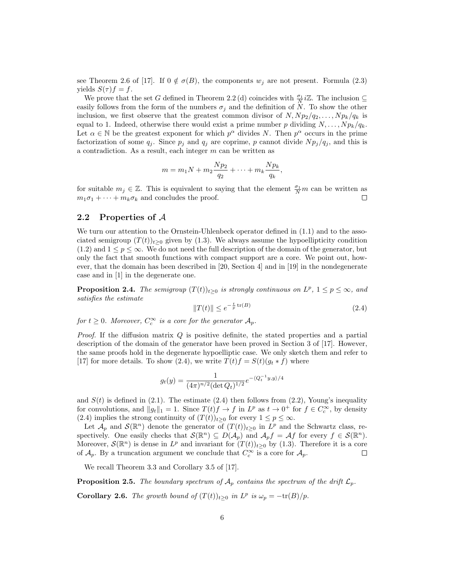see Theorem 2.6 of [17]. If  $0 \notin \sigma(B)$ , the components  $w_j$  are not present. Formula (2.3) yields  $S(\tau) f = f$ .

We prove that the set G defined in Theorem 2.2 (d) coincides with  $\frac{\sigma_1}{N}i\mathbb{Z}$ . The inclusion  $\subseteq$ easily follows from the form of the numbers  $\sigma_j$  and the definition of N. To show the other inclusion, we first observe that the greatest common divisor of  $N, Np_2/q_2, \ldots, Np_k/q_k$  is equal to 1. Indeed, otherwise there would exist a prime number p dividing  $N, \ldots, N p_k/q_k$ . Let  $\alpha \in \mathbb{N}$  be the greatest exponent for which  $p^{\alpha}$  divides N. Then  $p^{\alpha}$  occurs in the prime factorization of some  $q_i$ . Since  $p_i$  and  $q_i$  are coprime, p cannot divide  $N p_i / q_i$ , and this is a contradiction. As a result, each integer m can be written as

$$
m = m_1 N + m_2 \frac{Np_2}{q_2} + \dots + m_k \frac{Np_k}{q_k},
$$

for suitable  $m_j \in \mathbb{Z}$ . This is equivalent to saying that the element  $\frac{\sigma_1}{N}m$  can be written as  $m_1\sigma_1 + \cdots + m_k\sigma_k$  and concludes the proof.

#### 2.2 Properties of A

We turn our attention to the Ornstein-Uhlenbeck operator defined in  $(1.1)$  and to the associated semigroup  $(T(t))_{t>0}$  given by (1.3). We always assume the hypoellipticity condition  $(1.2)$  and  $1 \leq p \leq \infty$ . We do not need the full description of the domain of the generator, but only the fact that smooth functions with compact support are a core. We point out, however, that the domain has been described in [20, Section 4] and in [19] in the nondegenerate case and in [1] in the degenerate one.

**Proposition 2.4.** The semigroup  $(T(t))_{t\geq0}$  is strongly continuous on  $L^p$ ,  $1 \leq p \leq \infty$ , and satisfies the estimate

$$
||T(t)|| \le e^{-\frac{t}{p}\operatorname{tr}(B)}\tag{2.4}
$$

for  $t \geq 0$ . Moreover,  $C_c^{\infty}$  is a core for the generator  $\mathcal{A}_p$ .

*Proof.* If the diffusion matrix  $Q$  is positive definite, the stated properties and a partial description of the domain of the generator have been proved in Section 3 of [17]. However, the same proofs hold in the degenerate hypoelliptic case. We only sketch them and refer to [17] for more details. To show (2.4), we write  $T(t)f = S(t)(g_t * f)$  where

$$
g_t(y) = \frac{1}{(4\pi)^{n/2} (\det Q_t)^{1/2}} e^{-\langle Q_t^{-1} y, y \rangle/4}
$$

and  $S(t)$  is defined in (2.1). The estimate (2.4) then follows from (2.2), Young's inequality for convolutions, and  $||g_t||_1 = 1$ . Since  $T(t)f \to f$  in  $L^p$  as  $t \to 0^+$  for  $f \in C_c^{\infty}$ , by density (2.4) implies the strong continuity of  $(T(t))_{t\geq0}$  for every  $1 \leq p \leq \infty$ .

Let  $\mathcal{A}_p$  and  $\mathcal{S}(\mathbb{R}^n)$  denote the generator of  $(T(t))_{t\geq0}$  in  $L^p$  and the Schwartz class, respectively. One easily checks that  $\mathcal{S}(\mathbb{R}^n) \subseteq D(\mathcal{A}_p)$  and  $\mathcal{A}_p f = \mathcal{A} f$  for every  $f \in \mathcal{S}(\mathbb{R}^n)$ . Moreover,  $\mathcal{S}(\mathbb{R}^n)$  is dense in  $L^p$  and invariant for  $(T(t))_{t\geq0}$  by (1.3). Therefore it is a core of  $\mathcal{A}_p$ . By a truncation argument we conclude that  $C_c^{\infty}$  is a core for  $\mathcal{A}_p$ .  $\Box$ 

We recall Theorem 3.3 and Corollary 3.5 of [17].

**Proposition 2.5.** The boundary spectrum of  $A_p$  contains the spectrum of the drift  $\mathcal{L}_p$ . **Corollary 2.6.** The growth bound of  $(T(t))_{t\geq0}$  in  $L^p$  is  $\omega_p = -\text{tr}(B)/p$ .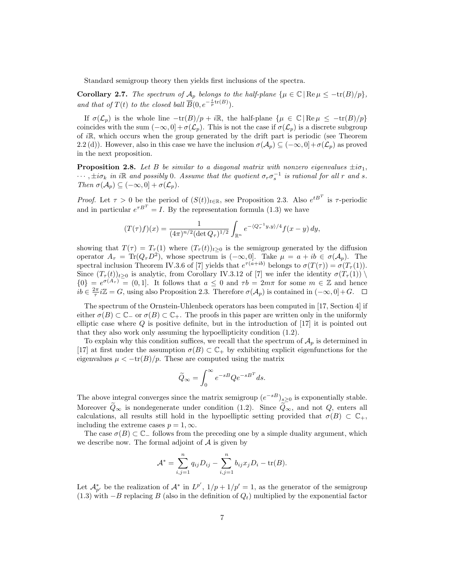Standard semigroup theory then yields first inclusions of the spectra.

Corollary 2.7. The spectrum of  $\mathcal{A}_p$  belongs to the half-plane  $\{\mu \in \mathbb{C} \mid \text{Re}\,\mu \leq -\text{tr}(B)/p\},\$ and that of  $T(t)$  to the closed ball  $\overline{B}(0, e^{-\frac{t}{p}\text{tr}(B)})$ .

If  $\sigma(\mathcal{L}_p)$  is the whole line  $-\text{tr}(B)/p + i\mathbb{R}$ , the half-plane  $\{\mu \in \mathbb{C} \mid \text{Re}\,\mu \leq -\text{tr}(B)/p\}$ coincides with the sum  $(-\infty, 0] + \sigma(\mathcal{L}_n)$ . This is not the case if  $\sigma(\mathcal{L}_n)$  is a discrete subgroup of  $i\mathbb{R}$ , which occurs when the group generated by the drift part is periodic (see Theorem 2.2(d)). However, also in this case we have the inclusion  $\sigma(\mathcal{A}_p) \subseteq (-\infty, 0] + \sigma(\mathcal{L}_p)$  as proved in the next proposition.

**Proposition 2.8.** Let B be similar to a diagonal matrix with nonzero eigenvalues  $\pm i\sigma_1$ ,  $\cdots$ ,  $\pm i\sigma_k$  in iR and possibly 0. Assume that the quotient  $\sigma_r \sigma_s^{-1}$  is rational for all r and s. Then  $\sigma(\mathcal{A}_p) \subseteq (-\infty, 0] + \sigma(\mathcal{L}_p)$ .

*Proof.* Let  $\tau > 0$  be the period of  $(S(t))_{t \in \mathbb{R}}$ , see Proposition 2.3. Also  $e^{tB^T}$  is  $\tau$ -periodic and in particular  $e^{\tau B^T} = I$ . By the representation formula (1.3) we have

$$
(T(\tau)f)(x) = \frac{1}{(4\pi)^{n/2}(\det Q_{\tau})^{1/2}} \int_{\mathbb{R}^n} e^{-\langle Q_{\tau}^{-1}y, y \rangle/4} f(x - y) dy,
$$

showing that  $T(\tau) = T_{\tau}(1)$  where  $(T_{\tau}(t))_{t>0}$  is the semigroup generated by the diffusion operator  $A_{\tau} = \text{Tr}(Q_{\tau}D^2)$ , whose spectrum is  $(-\infty, 0]$ . Take  $\mu = a + ib \in \sigma(A_p)$ . The spectral inclusion Theorem IV.3.6 of [7] yields that  $e^{\tau(a+ib)}$  belongs to  $\sigma(T(\tau)) = \sigma(T_{\tau}(1)).$ Since  $(T_\tau(t))_{t\geq0}$  is analytic, from Corollary IV.3.12 of [7] we infer the identity  $\sigma(T_\tau(1))$  $\{0\} = e^{\sigma(A_{\tau})} = (0, 1]$ . It follows that  $a \leq 0$  and  $\tau b = 2m\pi$  for some  $m \in \mathbb{Z}$  and hence  $i\overline{b} \in \frac{2\pi}{\tau} i\mathbb{Z} = G$ , using also Proposition 2.3. Therefore  $\sigma(\mathcal{A}_p)$  is contained in  $(-\infty, 0] + G$ .

The spectrum of the Ornstein-Uhlenbeck operators has been computed in [17, Section 4] if either  $\sigma(B) \subset \mathbb{C}_-$  or  $\sigma(B) \subset \mathbb{C}_+$ . The proofs in this paper are written only in the uniformly elliptic case where  $Q$  is positive definite, but in the introduction of  $[17]$  it is pointed out that they also work only assuming the hypoellipticity condition (1.2).

To explain why this condition suffices, we recall that the spectrum of  $A_p$  is determined in [17] at first under the assumption  $\sigma(B) \subset \mathbb{C}_+$  by exhibiting explicit eigenfunctions for the eigenvalues  $\mu < -\text{tr}(B)/p$ . These are computed using the matrix

$$
\widetilde{Q}_{\infty} = \int_0^{\infty} e^{-sB} Q e^{-sB^T} ds.
$$

The above integral converges since the matrix semigroup  $(e^{-sB})_{s\geq 0}$  is exponentially stable. Moreover  $\hat{Q}_{\infty}$  is nondegenerate under condition (1.2). Since  $\hat{Q}_{\infty}$ , and not  $Q$ , enters all calculations, all results still hold in the hypoelliptic setting provided that  $\sigma(B) \subset \mathbb{C}_+$ , including the extreme cases  $p = 1, \infty$ .

The case  $\sigma(B) \subset \mathbb{C}$  follows from the preceding one by a simple duality argument, which we describe now. The formal adjoint of  $A$  is given by

$$
\mathcal{A}^* = \sum_{i,j=1}^n q_{ij} D_{ij} - \sum_{i,j=1}^n b_{ij} x_j D_i - \text{tr}(B).
$$

Let  $\mathcal{A}_{p'}^*$  be the realization of  $\mathcal{A}^*$  in  $L^{p'}, 1/p + 1/p' = 1$ , as the generator of the semigroup (1.3) with  $-B$  replacing B (also in the definition of  $Q_t$ ) multiplied by the exponential factor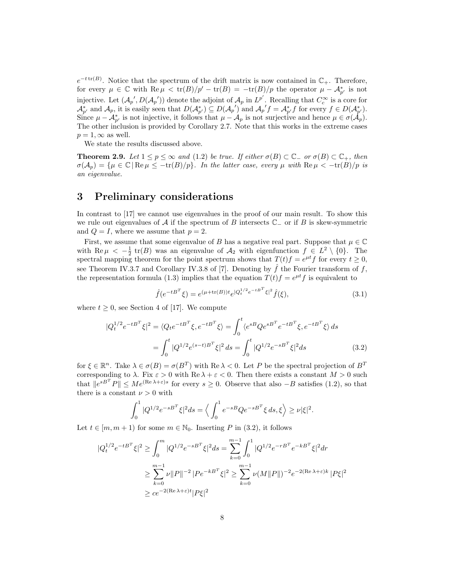$e^{-t \text{ tr}(B)}$ . Notice that the spectrum of the drift matrix is now contained in  $\mathbb{C}_+$ . Therefore, for every  $\mu \in \mathbb{C}$  with  $\text{Re}\,\mu < \text{tr}(B)/p' - \text{tr}(B) = -\text{tr}(B)/p$  the operator  $\mu - \mathcal{A}_{p'}^*$  is not injective. Let  $(\mathcal{A}_{p}', D(\mathcal{A}_{p}'))$  denote the adjoint of  $\mathcal{A}_{p}$  in  $L^{p'}$ . Recalling that  $C_c^{\infty}$  is a core for  $\mathcal{A}_{p'}^*$  and  $\mathcal{A}_p$ , it is easily seen that  $D(\mathcal{A}_{p'}^*) \subseteq D(\mathcal{A}_{p'})$  and  $\mathcal{A}_{p'}f = \mathcal{A}_{p'}^*f$  for every  $f \in D(\mathcal{A}_{p'}^*)$ . Since  $\mu - \mathcal{A}_{p'}^*$  is not injective, it follows that  $\mu - \mathcal{A}_p$  is not surjective and hence  $\mu \in \sigma(\mathcal{A}_p)$ . The other inclusion is provided by Corollary 2.7. Note that this works in the extreme cases  $p = 1, \infty$  as well.

We state the results discussed above.

**Theorem 2.9.** Let  $1 \le p \le \infty$  and (1.2) be true. If either  $\sigma(B) \subset \mathbb{C}_-$  or  $\sigma(B) \subset \mathbb{C}_+$ , then  $\sigma(A_p) = {\mu \in \mathbb{C} | \operatorname{Re} \mu \leq -\operatorname{tr}(B)/p}.$  In the latter case, every  $\mu$  with  $\operatorname{Re} \mu < -\operatorname{tr}(B)/p$  is an eigenvalue.

## 3 Preliminary considerations

In contrast to [17] we cannot use eigenvalues in the proof of our main result. To show this we rule out eigenvalues of A if the spectrum of B intersects  $\mathbb{C}_-$  or if B is skew-symmetric and  $Q = I$ , where we assume that  $p = 2$ .

First, we assume that some eigenvalue of B has a negative real part. Suppose that  $\mu \in \mathbb{C}$ with Re  $\mu < -\frac{1}{2}$  tr(B) was an eigenvalue of  $\mathcal{A}_2$  with eigenfunction  $f \in L^2 \setminus \{0\}$ . The spectral mapping theorem for the point spectrum shows that  $T(t)f = e^{\mu t}f$  for every  $t \geq 0$ , see Theorem IV.3.7 and Corollary IV.3.8 of [7]. Denoting by  $\hat{f}$  the Fourier transform of f, the representation formula (1.3) implies that the equation  $T(t)f = e^{\mu t}f$  is equivalent to

$$
\hat{f}(e^{-tB^T}\xi) = e^{(\mu + \text{tr}(B))t}e^{|Q_t^{1/2}e^{-tB^T}\xi|^2}\hat{f}(\xi),\tag{3.1}
$$

where  $t \geq 0$ , see Section 4 of [17]. We compute

 $\overline{\phantom{a}}$ 

$$
|Q_t^{1/2}e^{-tB^T}\xi|^2 = \langle Q_t e^{-tB^T}\xi, e^{-tB^T}\xi \rangle = \int_0^t \langle e^{sB}Qe^{sB^T}e^{-tB^T}\xi, e^{-tB^T}\xi \rangle ds
$$

$$
= \int_0^t |Q^{1/2}e^{(s-t)B^T}\xi|^2 ds = \int_0^t |Q^{1/2}e^{-sB^T}\xi|^2 ds \qquad (3.2)
$$

for  $\xi \in \mathbb{R}^n$ . Take  $\lambda \in \sigma(B) = \sigma(B^T)$  with  $\text{Re }\lambda < 0$ . Let P be the spectral projection of  $B^T$ corresponding to  $\lambda$ . Fix  $\varepsilon > 0$  with Re  $\lambda + \varepsilon < 0$ . Then there exists a constant  $M > 0$  such that  $||e^{sB^T}P|| \leq Me^{(\text{Re }\lambda+\varepsilon)s}$  for every  $s \geq 0$ . Observe that also  $-B$  satisfies (1.2), so that there is a constant  $\nu > 0$  with

$$
\int_0^1 |Q^{1/2} e^{-sB^T} \xi|^2 ds = \left\langle \int_0^1 e^{-sB} Q e^{-sB^T} \xi ds, \xi \right\rangle \ge \nu |\xi|^2.
$$

Let  $t \in [m, m + 1)$  for some  $m \in \mathbb{N}_0$ . Inserting P in (3.2), it follows

$$
Q_t^{1/2} e^{-tB^T} \xi|^2 \ge \int_0^m |Q^{1/2} e^{-sB^T} \xi|^2 ds = \sum_{k=0}^{m-1} \int_0^1 |Q^{1/2} e^{-rB^T} e^{-kB^T} \xi|^2 dr
$$
  

$$
\ge \sum_{k=0}^{m-1} \nu \|P\|^{-2} |Pe^{-kB^T} \xi|^2 \ge \sum_{k=0}^{m-1} \nu (M \|P\|)^{-2} e^{-2(\text{Re }\lambda + \varepsilon)k} |P\xi|^2
$$
  

$$
\ge ce^{-2(\text{Re }\lambda + \varepsilon)t} |P\xi|^2
$$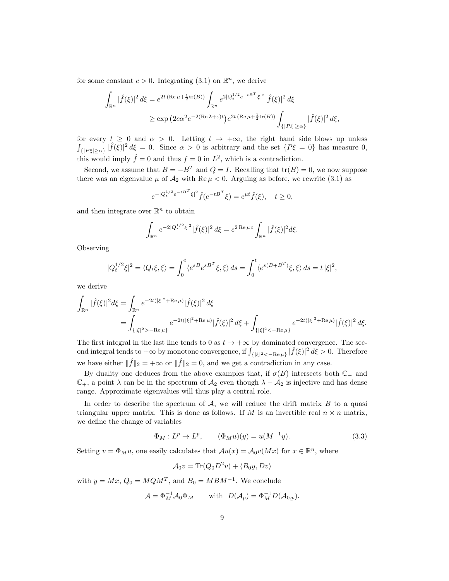for some constant  $c > 0$ . Integrating (3.1) on  $\mathbb{R}^n$ , we derive

$$
\int_{\mathbb{R}^n} |\hat{f}(\xi)|^2 d\xi = e^{2t \, (\text{Re}\,\mu + \frac{1}{2}\text{tr}(B))} \int_{\mathbb{R}^n} e^{2|Q_t^{1/2} e^{-tB^T} \xi|^2} |\hat{f}(\xi)|^2 d\xi
$$
\n
$$
\geq \exp\left(2c\alpha^2 e^{-2(\text{Re}\,\lambda + \varepsilon)t}\right) e^{2t \, (\text{Re}\,\mu + \frac{1}{2}\text{tr}(B))} \int_{\{|P\xi| \geq \alpha\}} |\hat{f}(\xi)|^2 d\xi,
$$

for every  $t \geq 0$  and  $\alpha > 0$ . Letting  $t \to +\infty$ , the right hand side blows up unless  $\int_{\{|P\xi|\geq\alpha\}}|\widehat{f}(\overline{\xi})|^2 d\xi = 0$ . Since  $\alpha > 0$  is arbitrary and the set  $\{P\xi = 0\}$  has measure 0, this would imply  $\hat{f} = 0$  and thus  $f = 0$  in  $L^2$ , which is a contradiction.

Second, we assume that  $B = -B^T$  and  $Q = I$ . Recalling that  $tr(B) = 0$ , we now suppose there was an eigenvalue  $\mu$  of  $\mathcal{A}_2$  with Re  $\mu < 0$ . Arguing as before, we rewrite (3.1) as

$$
e^{-|Q_t^{1/2}e^{-tB^T}\xi|^2}\hat{f}(e^{-tB^T}\xi) = e^{\mu t}\hat{f}(\xi), \quad t \ge 0,
$$

and then integrate over  $\mathbb{R}^n$  to obtain

$$
\int_{\mathbb{R}^n} e^{-2|Q_t^{1/2}\xi|^2} |\hat{f}(\xi)|^2 d\xi = e^{2 \operatorname{Re} \mu t} \int_{\mathbb{R}^n} |\hat{f}(\xi)|^2 d\xi.
$$

Observing

$$
|Q_t^{1/2}\xi|^2 = \langle Q_t \xi, \xi \rangle = \int_0^t \langle e^{sB} e^{sB^T} \xi, \xi \rangle \, ds = \int_0^t \langle e^{s(B+B^T)} \xi, \xi \rangle \, ds = t \, |\xi|^2,
$$

we derive

$$
\int_{\mathbb{R}^n} |\hat{f}(\xi)|^2 d\xi = \int_{\mathbb{R}^n} e^{-2t(|\xi|^2 + \text{Re}\,\mu)} |\hat{f}(\xi)|^2 d\xi
$$
  
= 
$$
\int_{\{|\xi|^2 > -\text{Re}\,\mu\}} e^{-2t(|\xi|^2 + \text{Re}\,\mu)} |\hat{f}(\xi)|^2 d\xi + \int_{\{|\xi|^2 < -\text{Re}\,\mu\}} e^{-2t(|\xi|^2 + \text{Re}\,\mu)} |\hat{f}(\xi)|^2 d\xi.
$$

The first integral in the last line tends to 0 as  $t \to +\infty$  by dominated convergence. The second integral tends to  $+\infty$  by monotone convergence, if  $\int_{\{|\xi|^2<-Re\,\mu\}}|\hat{f}(\xi)|^2 d\xi > 0$ . Therefore we have either  $\|\hat{f}\|_2 = +\infty$  or  $\|\hat{f}\|_2 = 0$ , and we get a contradiction in any case.

By duality one deduces from the above examples that, if  $\sigma(B)$  intersects both  $\mathbb{C}_-$  and  $\mathbb{C}_+$ , a point  $\lambda$  can be in the spectrum of  $\mathcal{A}_2$  even though  $\lambda - \mathcal{A}_2$  is injective and has dense range. Approximate eigenvalues will thus play a central role.

In order to describe the spectrum of  $A$ , we will reduce the drift matrix  $B$  to a quasi triangular upper matrix. This is done as follows. If M is an invertible real  $n \times n$  matrix, we define the change of variables

$$
\Phi_M : L^p \to L^p, \qquad (\Phi_M u)(y) = u(M^{-1}y). \tag{3.3}
$$

Setting  $v = \Phi_M u$ , one easily calculates that  $Au(x) = A_0 v(Mx)$  for  $x \in \mathbb{R}^n$ , where

$$
A_0v = \text{Tr}(Q_0D^2v) + \langle B_0y, Dv \rangle
$$

with  $y = Mx$ ,  $Q_0 = MQM^T$ , and  $B_0 = MBM^{-1}$ . We conclude

$$
\mathcal{A} = \Phi_M^{-1} \mathcal{A}_0 \Phi_M \quad \text{with} \quad D(\mathcal{A}_p) = \Phi_M^{-1} D(\mathcal{A}_{0,p}).
$$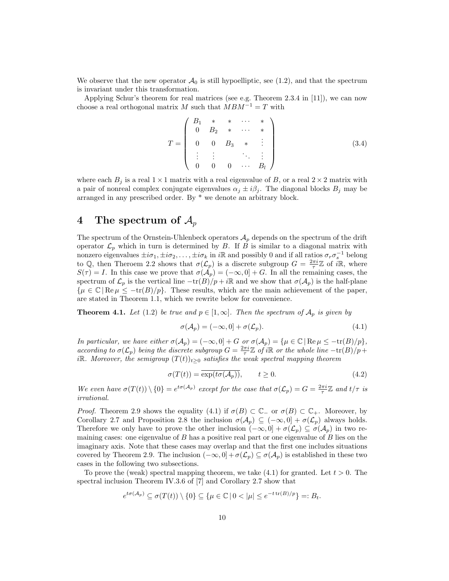We observe that the new operator  $\mathcal{A}_0$  is still hypoelliptic, see (1.2), and that the spectrum is invariant under this transformation.

Applying Schur's theorem for real matrices (see e.g. Theorem 2.3.4 in [11]), we can now choose a real orthogonal matrix M such that  $MBM^{-1} = T$  with

$$
T = \begin{pmatrix} B_1 & * & * & \cdots & * \\ 0 & B_2 & * & \cdots & * \\ 0 & 0 & B_3 & * & \vdots \\ \vdots & \vdots & & \ddots & \vdots \\ 0 & 0 & 0 & \cdots & B_l \end{pmatrix}
$$
 (3.4)

where each  $B_j$  is a real  $1 \times 1$  matrix with a real eigenvalue of B, or a real  $2 \times 2$  matrix with a pair of nonreal complex conjugate eigenvalues  $\alpha_j \pm i\beta_j$ . The diagonal blocks  $B_j$  may be arranged in any prescribed order. By \* we denote an arbitrary block.

## 4 The spectrum of  $\mathcal{A}_p$

The spectrum of the Ornstein-Uhlenbeck operators  $A_p$  depends on the spectrum of the drift operator  $\mathcal{L}_p$  which in turn is determined by B. If B is similar to a diagonal matrix with nonzero eigenvalues  $\pm i\sigma_1, \pm i\sigma_2, \ldots, \pm i\sigma_k$  in iR and possibly 0 and if all ratios  $\sigma_r \sigma_s^{-1}$  belong to Q, then Theroem 2.2 shows that  $\sigma(\mathcal{L}_p)$  is a discrete subgroup  $G = \frac{2\pi i}{\tau}\mathbb{Z}$  of  $i\mathbb{R}$ , where  $S(\tau) = I$ . In this case we prove that  $\sigma(\mathcal{A}_p) = (-\infty, 0] + G$ . In all the remaining cases, the spectrum of  $\mathcal{L}_p$  is the vertical line  $-\text{tr}(B)/p + i\mathbb{R}$  and we show that  $\sigma(\mathcal{A}_p)$  is the half-plane  $\{\mu \in \mathbb{C} \mid \text{Re}\,\mu \leq -\text{tr}(B)/p\}.$  These results, which are the main achievement of the paper, are stated in Theorem 1.1, which we rewrite below for convenience.

**Theorem 4.1.** Let (1.2) be true and  $p \in [1,\infty]$ . Then the spectrum of  $\mathcal{A}_p$  is given by

$$
\sigma(\mathcal{A}_p) = (-\infty, 0] + \sigma(\mathcal{L}_p). \tag{4.1}
$$

In particular, we have either  $\sigma(\mathcal{A}_p) = (-\infty, 0] + G$  or  $\sigma(\mathcal{A}_p) = {\mu \in \mathbb{C} | \operatorname{Re} \mu \leq -\operatorname{tr}(B)/p},$ according to  $\sigma(\mathcal{L}_p)$  being the discrete subgroup  $G = \frac{2\pi i}{\tau} \mathbb{Z}$  of iR or the whole line  $-\text{tr}(B)/p +$ iR. Moreover, the semigroup  $(T(t))_{t\geq0}$  satisfies the weak spectral mapping theorem

$$
\sigma(T(t)) = \overline{\exp(t\sigma(\mathcal{A}_p))}, \qquad t \ge 0.
$$
\n(4.2)

We even have  $\sigma(T(t)) \setminus \{0\} = e^{t\sigma(A_p)}$  except for the case that  $\sigma(\mathcal{L}_p) = G = \frac{2\pi i}{\tau} \mathbb{Z}$  and  $t/\tau$  is irrational.

*Proof.* Theorem 2.9 shows the equality (4.1) if  $\sigma(B) \subset \mathbb{C}_-$  or  $\sigma(B) \subset \mathbb{C}_+$ . Moreover, by Corollary 2.7 and Proposition 2.8 the inclusion  $\sigma(\mathcal{A}_p) \subseteq (-\infty, 0] + \sigma(\mathcal{L}_p)$  always holds. Therefore we only have to prove the other inclusion  $(-\infty,0] + \sigma(\mathcal{L}_p) \subseteq \sigma(\mathcal{A}_p)$  in two remaining cases: one eigenvalue of  $B$  has a positive real part or one eigenvalue of  $B$  lies on the imaginary axis. Note that these cases may overlap and that the first one includes situations covered by Theorem 2.9. The inclusion  $(-\infty, 0] + \sigma(\mathcal{L}_p) \subseteq \sigma(\mathcal{A}_p)$  is established in these two cases in the following two subsections.

To prove the (weak) spectral mapping theorem, we take  $(4.1)$  for granted. Let  $t > 0$ . The spectral inclusion Theorem IV.3.6 of [7] and Corollary 2.7 show that

$$
e^{t\sigma(\mathcal{A}_p)} \subseteq \sigma(T(t)) \setminus \{0\} \subseteq \{\mu \in \mathbb{C} \mid 0 < |\mu| \leq e^{-t \operatorname{tr}(B)/p}\} =: B_t.
$$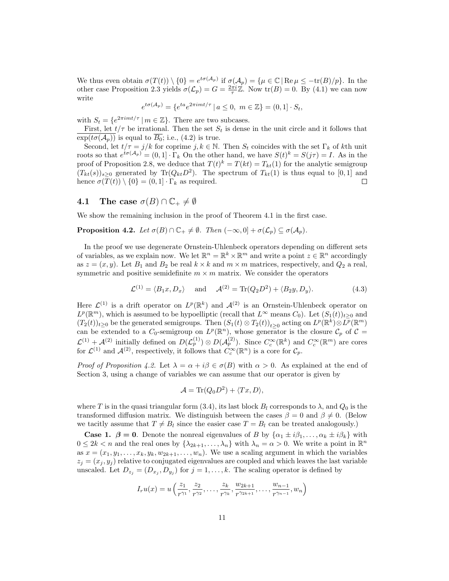We thus even obtain  $\sigma(T(t)) \setminus \{0\} = e^{t\sigma(A_p)}$  if  $\sigma(A_p) = {\mu \in \mathbb{C} | \operatorname{Re} \mu \le -\text{tr}(B)/p}$ . In the other case Proposition 2.3 yields  $\sigma(\mathcal{L}_p) = G = \frac{2\pi i}{\tau} \mathbb{Z}$ . Now  $\text{tr}(B) = 0$ . By (4.1) we can now write

$$
e^{t\sigma(\mathcal{A}_p)} = \{e^{ta}e^{2\pi i mt/\tau} \mid a \le 0, \ m \in \mathbb{Z}\} = (0,1] \cdot S_t,
$$

with  $S_t = \{e^{2\pi i mt/\tau} \mid m \in \mathbb{Z}\}\.$  There are two subcases.

First, let  $t/\tau$  be irrational. Then the set  $S_t$  is dense in the unit circle and it follows that  $\exp(t\sigma(\mathcal{A}_n))$  is equal to  $\overline{B_0}$ ; i.e., (4.2) is true.

Second, let  $t/\tau = j/k$  for coprime  $j, k \in \mathbb{N}$ . Then  $S_t$  coincides with the set  $\Gamma_k$  of kth unit roots so that  $e^{t\sigma(\mathcal{A}_p)} = (0,1] \cdot \Gamma_k$  On the other hand, we have  $S(t)^k = S(j\tau) = I$ . As in the proof of Proposition 2.8, we deduce that  $T(t)^k = T(kt) = T_{kt}(1)$  for the analytic semigroup  $(T_{kt}(s))_{s\geq 0}$  generated by Tr $(Q_{kt}D^2)$ . The spectrum of  $T_{kt}(1)$  is thus equal to [0, 1] and hence  $\sigma(T(t)) \setminus \{0\} = (0, 1] \cdot \Gamma_k$  as required.  $\Box$ 

#### 4.1 The case  $\sigma(B) \cap \mathbb{C}_+ \neq \emptyset$

We show the remaining inclusion in the proof of Theorem 4.1 in the first case.

**Proposition 4.2.** Let  $\sigma(B) \cap \mathbb{C}_+ \neq \emptyset$ . Then  $(-\infty, 0] + \sigma(\mathcal{L}_n) \subset \sigma(\mathcal{A}_n)$ .

In the proof we use degenerate Ornstein-Uhlenbeck operators depending on different sets of variables, as we explain now. We let  $\mathbb{R}^n = \mathbb{R}^k \times \mathbb{R}^m$  and write a point  $z \in \mathbb{R}^n$  accordingly as  $z = (x, y)$ . Let  $B_1$  and  $B_2$  be real  $k \times k$  and  $m \times m$  matrices, respectively, and  $Q_2$  a real, symmetric and positive semidefinite  $m \times m$  matrix. We consider the operators

$$
\mathcal{L}^{(1)} = \langle B_1 x, D_x \rangle \quad \text{and} \quad \mathcal{A}^{(2)} = \text{Tr}(Q_2 D^2) + \langle B_2 y, D_y \rangle. \tag{4.3}
$$

Here  $\mathcal{L}^{(1)}$  is a drift operator on  $L^p(\mathbb{R}^k)$  and  $\mathcal{A}^{(2)}$  is an Ornstein-Uhlenbeck operator on  $L^p(\mathbb{R}^m)$ , which is assumed to be hypoelliptic (recall that  $L^\infty$  means  $C_0$ ). Let  $(S_1(t))_{t\geq0}$  and  $(T_2(t))_{t\geq 0}$  be the generated semigroups. Then  $(S_1(t)\otimes T_2(t))_{t\geq 0}$  acting on  $L^p(\mathbb{R}^k)\otimes L^p(\mathbb{R}^m)$ can be extended to a  $C_0$ -semigroup on  $L^p(\mathbb{R}^n)$ , whose generator is the closure  $C_p$  of  $C =$  $\mathcal{L}^{(1)} + \mathcal{A}^{(2)}$  initially defined on  $D(\mathcal{L}_p^{(1)}) \otimes D(\mathcal{A}_p^{(2)})$ . Since  $C_c^{\infty}(\mathbb{R}^k)$  and  $C_c^{\infty}(\mathbb{R}^m)$  are cores for  $\mathcal{L}^{(1)}$  and  $\mathcal{A}^{(2)}$ , respectively, it follows that  $C_c^{\infty}(\mathbb{R}^n)$  is a core for  $\mathcal{C}_p$ .

*Proof of Proposition 4.2.* Let  $\lambda = \alpha + i\beta \in \sigma(B)$  with  $\alpha > 0$ . As explained at the end of Section 3, using a change of variables we can assume that our operator is given by

$$
\mathcal{A} = \text{Tr}(Q_0 D^2) + \langle Tx, D \rangle,
$$

where T is in the quasi triangular form (3.4), its last block  $B_l$  corresponds to  $\lambda$ , and  $Q_0$  is the transformed diffusion matrix. We distinguish between the cases  $\beta = 0$  and  $\beta \neq 0$ . (Below we tacitly assume that  $T \neq B_l$  since the easier case  $T = B_l$  can be treated analogously.)

**Case 1.**  $\beta = 0$ . Denote the nonreal eigenvalues of B by  $\{\alpha_1 \pm i\beta_1, \dots, \alpha_k \pm i\beta_k\}$  with  $0 \leq 2k < n$  and the real ones by  $\{\lambda_{2k+1}, \ldots, \lambda_n\}$  with  $\lambda_n = \alpha > 0$ . We write a point in  $\mathbb{R}^n$ as  $x = (x_1, y_1, \ldots, x_k, y_k, w_{2k+1}, \ldots, w_n)$ . We use a scaling argument in which the variables  $z_j = (x_j, y_j)$  relative to conjugated eigenvalues are coupled and which leaves the last variable unscaled. Let  $D_{z_j} = (D_{x_j}, D_{y_j})$  for  $j = 1, ..., k$ . The scaling operator is defined by

$$
I_r u(x) = u\left(\frac{z_1}{r^{\gamma_1}}, \frac{z_2}{r^{\gamma_2}}, \dots, \frac{z_k}{r^{\gamma_k}}, \frac{w_{2k+1}}{r^{\gamma_{2k+1}}}, \dots, \frac{w_{n-1}}{r^{\gamma_{n-1}}}, w_n\right)
$$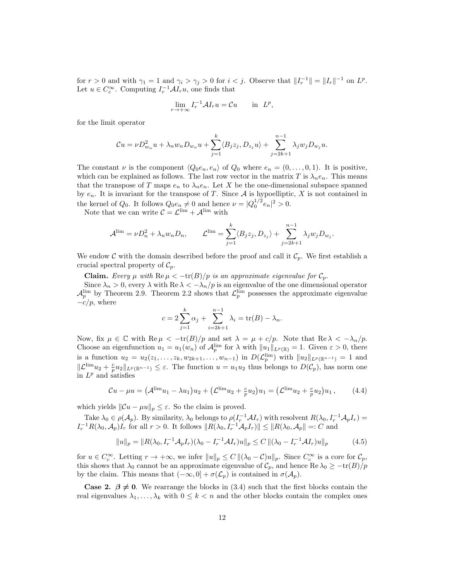for  $r > 0$  and with  $\gamma_1 = 1$  and  $\gamma_i > \gamma_j > 0$  for  $i < j$ . Observe that  $||I_r^{-1}|| = ||I_r||^{-1}$  on  $L^p$ . Let  $u \in C_c^{\infty}$ . Computing  $I_r^{-1} \mathcal{A} I_r u$ , one finds that

$$
\lim_{r \to +\infty} I_r^{-1} A I_r u = \mathcal{C} u \quad \text{in } L^p,
$$

for the limit operator

$$
\mathcal{C}u = \nu D_{w_n}^2 u + \lambda_n w_n D_{w_n} u + \sum_{j=1}^k \langle B_j z_j, D_{z_j} u \rangle + \sum_{j=2k+1}^{n-1} \lambda_j w_j D_{w_j} u.
$$

The constant  $\nu$  is the component  $\langle Q_0 e_n, e_n \rangle$  of  $Q_0$  where  $e_n = (0, \ldots, 0, 1)$ . It is positive, which can be explained as follows. The last row vector in the matrix T is  $\lambda_n e_n$ . This means that the transpose of T maps  $e_n$  to  $\lambda_n e_n$ . Let X be the one-dimensional subspace spanned by  $e_n$ . It is invariant for the transpose of T. Since  $A$  is hypoelliptic, X is not contained in the kernel of  $Q_0$ . It follows  $Q_0 e_n \neq 0$  and hence  $\nu = |Q_0^{1/2} e_n|^2 > 0$ .

Note that we can write  $C = \mathcal{L}^{\text{lim}} + \mathcal{A}^{\text{lim}}$  with

$$
\mathcal{A}^{\lim} = \nu D_n^2 + \lambda_n w_n D_n, \qquad \mathcal{L}^{\lim} = \sum_{j=1}^k \langle B_j z_j, D_{z_j} \rangle + \sum_{j=2k+1}^{n-1} \lambda_j w_j D_{w_j}.
$$

We endow C with the domain described before the proof and call it  $\mathcal{C}_p$ . We first establish a crucial spectral property of  $C_p$ .

Claim. Every  $\mu$  with  $\text{Re}\,\mu < -\text{tr}(B)/p$  is an approximate eigenvalue for  $\mathcal{C}_p$ .

Since  $\lambda_n > 0$ , every  $\lambda$  with Re  $\lambda < -\lambda_n/p$  is an eigenvalue of the one dimensional operator  $\mathcal{A}_p^{\text{lim}}$  by Theorem 2.9. Theorem 2.2 shows that  $\mathcal{L}_p^{\text{lim}}$  possesses the approximate eigenvalue  $-c/p$ , where

$$
c = 2\sum_{j=1}^{k} \alpha_j + \sum_{i=2k+1}^{n-1} \lambda_i = \text{tr}(B) - \lambda_n.
$$

Now, fix  $\mu \in \mathbb{C}$  with  $\text{Re}\,\mu < -\text{tr}(B)/p$  and set  $\lambda = \mu + c/p$ . Note that  $\text{Re}\,\lambda < -\lambda_n/p$ . Choose an eigenfunction  $u_1 = u_1(w_n)$  of  $\mathcal{A}_p^{\text{lim}}$  for  $\lambda$  with  $||u_1||_{L^p(\mathbb{R})} = 1$ . Given  $\varepsilon > 0$ , there is a function  $u_2 = u_2(z_1, \ldots, z_k, w_{2k+1}, \ldots, w_{n-1})$  in  $D(\mathcal{L}_p^{\text{lim}})$  with  $||u_2||_{L^p(\mathbb{R}^{n-1})} = 1$  and  $\|\mathcal{L}^{\lim} u_2 + \frac{c}{p}u_2\|_{L^p(\mathbb{R}^{n-1})} \leq \varepsilon$ . The function  $u = u_1u_2$  thus belongs to  $D(\mathcal{C}_p)$ , has norm one in  $L^p$  and satisfies

$$
\mathcal{C}u - \mu u = (\mathcal{A}^{\lim} u_1 - \lambda u_1) u_2 + (\mathcal{L}^{\lim} u_2 + \frac{c}{p} u_2) u_1 = (\mathcal{L}^{\lim} u_2 + \frac{c}{p} u_2) u_1, \quad (4.4)
$$

which yields  $\|\mathcal{C}u - \mu u\|_p \leq \varepsilon$ . So the claim is proved.

Take  $\lambda_0 \in \rho(\mathcal{A}_p)$ . By similarity,  $\lambda_0$  belongs to  $\rho(I_r^{-1}\mathcal{A}I_r)$  with resolvent  $R(\lambda_0, I_r^{-1}\mathcal{A}_pI_r)$  $I_r^{-1}R(\lambda_0, \mathcal{A}_p)I_r$  for all  $r > 0$ . It follows  $||R(\lambda_0, I_r^{-1}\mathcal{A}_pI_r)|| \leq ||R(\lambda_0, \mathcal{A}_p|| =: C$  and

$$
||u||_p = ||R(\lambda_0, I_r^{-1}A_pI_r)(\lambda_0 - I_r^{-1}AI_r)u||_p \le C ||(\lambda_0 - I_r^{-1}AI_r)u||_p
$$
\n(4.5)

for  $u \in C_c^{\infty}$ . Letting  $r \to +\infty$ , we infer  $||u||_p \leq C ||(\lambda_0 - \mathcal{C})u||_p$ . Since  $C_c^{\infty}$  is a core for  $\mathcal{C}_p$ , this shows that  $\lambda_0$  cannot be an approximate eigenvalue of  $\mathcal{C}_p$ , and hence Re  $\lambda_0 \geq -\text{tr}(B)/p$ by the claim. This means that  $(-\infty, 0] + \sigma(\mathcal{L}_p)$  is contained in  $\sigma(\mathcal{A}_p)$ .

**Case 2.**  $\beta \neq 0$ . We rearrange the blocks in (3.4) such that the first blocks contain the real eigenvalues  $\lambda_1, \ldots, \lambda_k$  with  $0 \leq k < n$  and the other blocks contain the complex ones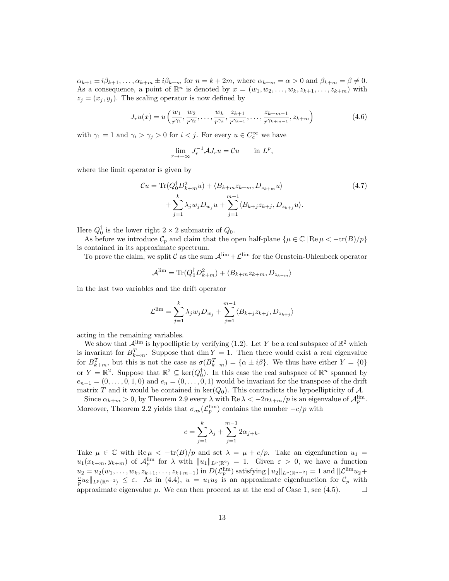$\alpha_{k+1} \pm i\beta_{k+1}, \ldots, \alpha_{k+m} \pm i\beta_{k+m}$  for  $n = k+2m$ , where  $\alpha_{k+m} = \alpha > 0$  and  $\beta_{k+m} = \beta \neq 0$ . As a consequence, a point of  $\mathbb{R}^n$  is denoted by  $x = (w_1, w_2, \ldots, w_k, z_{k+1}, \ldots, z_{k+m})$  with  $z_j = (x_j, y_j)$ . The scaling operator is now defined by

$$
J_r u(x) = u\left(\frac{w_1}{r^{\gamma_1}}, \frac{w_2}{r^{\gamma_2}}, \dots, \frac{w_k}{r^{\gamma_k}}, \frac{z_{k+1}}{r^{\gamma_{k+1}}}, \dots, \frac{z_{k+m-1}}{r^{\gamma_{k+m-1}}}, z_{k+m}\right)
$$
(4.6)

with  $\gamma_1 = 1$  and  $\gamma_i > \gamma_j > 0$  for  $i < j$ . For every  $u \in C_c^{\infty}$  we have

$$
\lim_{r \to +\infty} J_r^{-1} A J_r u = \mathcal{C} u \qquad \text{in } L^p,
$$

where the limit operator is given by

$$
\mathcal{C}u = \text{Tr}(Q_0^{\dagger} D_{k+m}^2 u) + \langle B_{k+m} z_{k+m}, D_{z_{k+m}} u \rangle
$$
  
+ 
$$
\sum_{j=1}^k \lambda_j w_j D_{w_j} u + \sum_{j=1}^{m-1} \langle B_{k+j} z_{k+j}, D_{z_{k+j}} u \rangle.
$$
 (4.7)

Here  $Q_0^{\dagger}$  is the lower right  $2 \times 2$  submatrix of  $Q_0$ .

As before we introduce  $\mathcal{C}_p$  and claim that the open half-plane  $\{\mu \in \mathbb{C} \mid \text{Re } \mu \lt -\text{tr}(B)/p\}$ is contained in its approximate spectrum.

To prove the claim, we split C as the sum  $\mathcal{A}^{\lim} + \mathcal{L}^{\lim}$  for the Ornstein-Uhlenbeck operator

$$
\mathcal{A}^{\text{lim}} = \text{Tr}(Q_0^{\dagger} D_{k+m}^2) + \langle B_{k+m} z_{k+m}, D_{z_{k+m}} \rangle
$$

in the last two variables and the drift operator

$$
\mathcal{L}^{\lim} = \sum_{j=1}^{k} \lambda_j w_j D_{w_j} + \sum_{j=1}^{m-1} \langle B_{k+j} z_{k+j}, D_{z_{k+j}} \rangle
$$

acting in the remaining variables.

We show that  $\mathcal{A}^{\text{lim}}$  is hypoelliptic by verifying (1.2). Let Y be a real subspace of  $\mathbb{R}^2$  which is invariant for  $B_{k+m}^T$ . Suppose that  $\dim Y = 1$ . Then there would exist a real eigenvalue for  $B_{k+m}^T$ , but this is not the case as  $\sigma(B_{k+m}^T) = {\alpha \pm i\beta}$ . We thus have either  $Y = \{0\}$ or  $Y = \mathbb{R}^2$ . Suppose that  $\mathbb{R}^2 \subseteq \text{ker}(Q_0^{\dagger})$ . In this case the real subspace of  $\mathbb{R}^n$  spanned by  $e_{n-1} = (0, \ldots, 0, 1, 0)$  and  $e_n = (0, \ldots, 0, 1)$  would be invariant for the transpose of the drift matrix T and it would be contained in  $\ker(Q_0)$ . This contradicts the hypoellipticity of A.

Since  $\alpha_{k+m} > 0$ , by Theorem 2.9 every  $\lambda$  with  $\text{Re }\lambda < -2\alpha_{k+m}/p$  is an eigenvalue of  $\mathcal{A}_p^{\text{lim}}$ . Moreover, Theorem 2.2 yields that  $\sigma_{ap}(\mathcal{L}_p^{\text{lim}})$  contains the number  $-c/p$  with

$$
c = \sum_{j=1}^{k} \lambda_j + \sum_{j=1}^{m-1} 2\alpha_{j+k}.
$$

Take  $\mu \in \mathbb{C}$  with Re  $\mu < -\text{tr}(B)/p$  and set  $\lambda = \mu + c/p$ . Take an eigenfunction  $u_1 =$  $u_1(x_{k+m}, y_{k+m})$  of  $\mathcal{A}_p^{\text{lim}}$  for  $\lambda$  with  $||u_1||_{L^p(\mathbb{R}^2)} = 1$ . Given  $\varepsilon > 0$ , we have a function  $u_2 = u_2(w_1, \ldots, w_k, z_{k+1}, \ldots, z_{k+m-1})$  in  $D(\mathcal{L}_p^{\text{lim}})$  satisfying  $||u_2||_{L^p(\mathbb{R}^{n-2})} = 1$  and  $||\mathcal{L}^{\text{lim}} u_2 + \frac{c}{p}u_2||_{L^p(\mathbb{R}^{n-2})} \leq \varepsilon$ . As in (4.4),  $u = u_1u_2$  is an approximate eigenfunction for  $\mathcal{$ approximate eigenvalue  $\mu$ . We can then proceed as at the end of Case 1, see (4.5).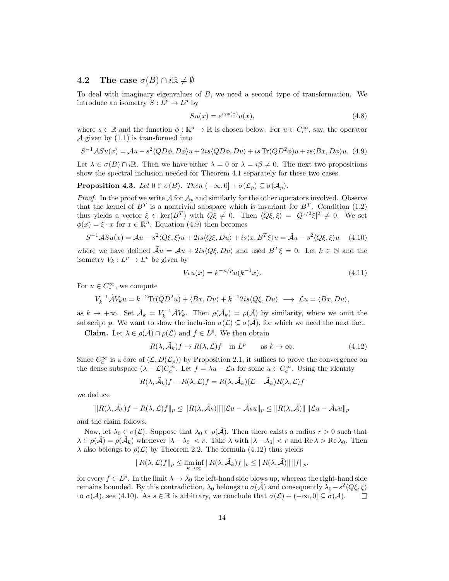#### 4.2 The case  $\sigma(B) \cap i\mathbb{R} \neq \emptyset$

To deal with imaginary eigenvalues of B, we need a second type of transformation. We introduce an isometry  $S: L^p \to L^p$  by

$$
Su(x) = e^{is\phi(x)}u(x),\tag{4.8}
$$

where  $s \in \mathbb{R}$  and the function  $\phi : \mathbb{R}^n \to \mathbb{R}$  is chosen below. For  $u \in C_c^{\infty}$ , say, the operator  $\mathcal A$  given by  $(1.1)$  is transformed into

$$
S^{-1}ASu(x) = Au - s^2 \langle QD\phi, D\phi \rangle u + 2is \langle QD\phi, Du \rangle + is \text{Tr}(QD^2\phi)u + is \langle Bx, D\phi \rangle u. \tag{4.9}
$$

Let  $\lambda \in \sigma(B) \cap i\mathbb{R}$ . Then we have either  $\lambda = 0$  or  $\lambda = i\beta \neq 0$ . The next two propositions show the spectral inclusion needed for Theorem 4.1 separately for these two cases.

**Proposition 4.3.** Let  $0 \in \sigma(B)$ . Then  $(-\infty, 0] + \sigma(\mathcal{L}_p) \subseteq \sigma(\mathcal{A}_p)$ .

*Proof.* In the proof we write  $\mathcal A$  for  $\mathcal A_p$  and similarly for the other operators involved. Observe that the kernel of  $B<sup>T</sup>$  is a nontrivial subspace which is invariant for  $B<sup>T</sup>$ . Condition (1.2) thus yields a vector  $\xi \in \text{ker}(B^T)$  with  $Q\xi \neq 0$ . Then  $\langle Q\xi, \xi \rangle = |Q^{1/2}\xi|^2 \neq 0$ . We set  $\phi(x) = \xi \cdot x$  for  $x \in \mathbb{R}^n$ . Equation (4.9) then becomes

$$
S^{-1}ASu(x) = Au - s^2 \langle Q\xi, \xi \rangle u + 2is \langle Q\xi, Du \rangle + is \langle x, B^T\xi \rangle u = \tilde{A}u - s^2 \langle Q\xi, \xi \rangle u \quad (4.10)
$$

where we have defined  $\tilde{A}u = Au + 2is\langle Q\xi, Du \rangle$  and used  $B^T \xi = 0$ . Let  $k \in \mathbb{N}$  and the isometry  $V_k: L^p \to L^p$  be given by

$$
V_k u(x) = k^{-n/p} u(k^{-1}x).
$$
\n(4.11)

For  $u \in C_c^{\infty}$ , we compute

$$
V_k^{-1} \tilde{\mathcal{A}} V_k u = k^{-2} \text{Tr}(Q D^2 u) + \langle Bx, D u \rangle + k^{-1} 2 i s \langle Q\xi, D u \rangle \longrightarrow \mathcal{L} u = \langle Bx, D u \rangle,
$$

as  $k \to +\infty$ . Set  $\tilde{\mathcal{A}}_k = V_k^{-1} \tilde{\mathcal{A}} V_k$ . Then  $\rho(\tilde{\mathcal{A}}_k) = \rho(\tilde{\mathcal{A}})$  by similarity, where we omit the subscript p. We want to show the inclusion  $\sigma(\mathcal{L}) \subseteq \sigma(\tilde{\mathcal{A}})$ , for which we need the next fact.

**Claim.** Let  $\lambda \in \rho(\tilde{\mathcal{A}}) \cap \rho(\mathcal{L})$  and  $f \in L^p$ . We then obtain

$$
R(\lambda, \tilde{\mathcal{A}}_k)f \to R(\lambda, \mathcal{L})f \quad \text{in } L^p \qquad \text{as } k \to \infty. \tag{4.12}
$$

Since  $C_c^{\infty}$  is a core of  $(\mathcal{L}, D(\mathcal{L}_p))$  by Proposition 2.1, it suffices to prove the convergence on the dense subspace  $(\lambda - \mathcal{L})C_c^{\infty}$ . Let  $f = \lambda u - \mathcal{L}u$  for some  $u \in C_c^{\infty}$ . Using the identity

$$
R(\lambda, \tilde{A}_k)f - R(\lambda, \mathcal{L})f = R(\lambda, \tilde{A}_k)(\mathcal{L} - \tilde{A}_k)R(\lambda, \mathcal{L})f
$$

we deduce

$$
||R(\lambda, \tilde{A}_k)f - R(\lambda, \mathcal{L})f||_p \le ||R(\lambda, \tilde{A}_k)|| \, ||\mathcal{L}u - \tilde{A}_ku||_p \le ||R(\lambda, \tilde{A})|| \, ||\mathcal{L}u - \tilde{A}_ku||_p
$$

and the claim follows.

Now, let  $\lambda_0 \in \sigma(\mathcal{L})$ . Suppose that  $\lambda_0 \in \rho(\tilde{\mathcal{A}})$ . Then there exists a radius  $r > 0$  such that  $\lambda \in \rho(\tilde{\mathcal{A}}) = \rho(\tilde{\mathcal{A}}_k)$  whenever  $|\lambda - \lambda_0| < r$ . Take  $\lambda$  with  $|\lambda - \lambda_0| < r$  and Re  $\lambda >$  Re  $\lambda_0$ . Then  $\lambda$  also belongs to  $\rho(\mathcal{L})$  by Theorem 2.2. The formula (4.12) thus yields

$$
||R(\lambda, \mathcal{L})f||_p \le \liminf_{k \to \infty} ||R(\lambda, \tilde{\mathcal{A}}_k)f||_p \le ||R(\lambda, \tilde{\mathcal{A}})|| ||f||_p.
$$

for every  $f \in L^p$ . In the limit  $\lambda \to \lambda_0$  the left-hand side blows up, whereas the right-hand side remains bounded. By this contradiction,  $\lambda_0$  belongs to  $\sigma(\tilde{\mathcal{A}})$  and consequently  $\tilde{\lambda}_0 - s^2 \langle Q\xi, \xi \rangle$ to  $\sigma(\mathcal{A})$ , see (4.10). As  $s \in \mathbb{R}$  is arbitrary, we conclude that  $\sigma(\mathcal{L}) + (-\infty, 0] \subseteq \sigma(\mathcal{A})$ .  $\Box$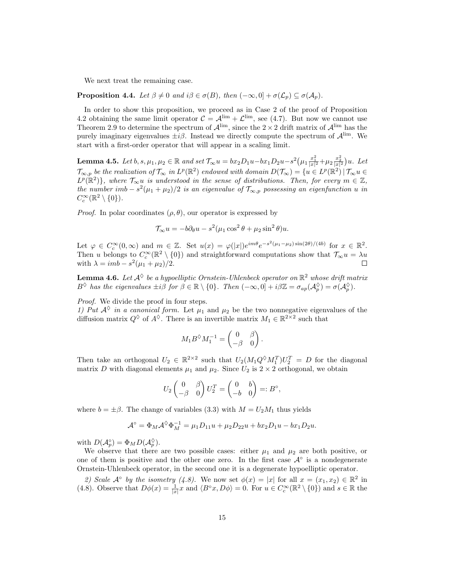We next treat the remaining case.

**Proposition 4.4.** Let  $\beta \neq 0$  and  $i\beta \in \sigma(B)$ , then  $(-\infty, 0] + \sigma(\mathcal{L}_p) \subseteq \sigma(\mathcal{A}_p)$ .

In order to show this proposition, we proceed as in Case 2 of the proof of Proposition 4.2 obtaining the same limit operator  $C = A^{\lim} + C^{\lim}$ , see (4.7). But now we cannot use Theorem 2.9 to determine the spectrum of  $\mathcal{A}^{\text{lim}}$ , since the  $2 \times 2$  drift matrix of  $\mathcal{A}^{\text{lim}}$  has the purely imaginary eigenvalues  $\pm i\beta$ . Instead we directly compute the spectrum of  $\mathcal{A}^{\text{lim}}$ . We start with a first-order operator that will appear in a scaling limit.

**Lemma 4.5.** Let  $b, s, \mu_1, \mu_2 \in \mathbb{R}$  and set  $\mathcal{T}_{\infty}u = bx_2D_1u - bx_1D_2u - s^2(\mu_1 \frac{x_1^2}{|x|^2} + \mu_2 \frac{x_2^2}{|x|^2})u$ . Let  $\mathcal{T}_{\infty,p}$  be the realization of  $\mathcal{T}_{\infty}$  in  $L^p(\mathbb{R}^2)$  endowed with domain  $D(\mathcal{T}_{\infty}) = \{u \in L^p(\mathbb{R}^2) \mid \mathcal{T}_{\infty}u \in$  $L^p(\mathbb{R}^2)$ , where  $\mathcal{T}_{\infty}u$  is understood in the sense of distributions. Then, for every  $m \in \mathbb{Z}$ , the number imb  $- s^2(\mu_1 + \mu_2)/2$  is an eigenvalue of  $\mathcal{T}_{\infty,p}$  possessing an eigenfunction u in  $C_c^{\infty}(\mathbb{R}^2 \setminus \{0\}).$ 

*Proof.* In polar coordinates  $(\rho, \theta)$ , our operator is expressed by

$$
\mathcal{T}_{\infty} u = -b \partial_{\theta} u - s^2 (\mu_1 \cos^2 \theta + \mu_2 \sin^2 \theta) u.
$$

Let  $\varphi \in C_c^{\infty}(0,\infty)$  and  $m \in \mathbb{Z}$ . Set  $u(x) = \varphi(|x|)e^{im\theta}e^{-s^2(\mu_1-\mu_2)\sin(2\theta)/(4b)}$  for  $x \in \mathbb{R}^2$ . Then u belongs to  $C_c^{\infty}(\mathbb{R}^2 \setminus \{0\})$  and straightforward computations show that  $\mathcal{T}_{\infty}u = \lambda u$ with  $\lambda = imb - s^2(\mu_1 + \mu_2)/2$ .

**Lemma 4.6.** Let  $\mathcal{A}^{\lozenge}$  be a hypoelliptic Ornstein-Uhlenbeck operator on  $\mathbb{R}^2$  whose drift matrix  $B^{\Diamond}$  has the eigenvalues  $\pm i\overset{\circ}{\beta}$  for  $\beta \in \mathbb{R} \setminus \{0\}$ . Then  $(-\infty, 0] + i\beta \mathbb{Z} = \sigma_{ap}(\mathcal{A}_{p}^{\Diamond}) = \sigma(\mathcal{A}_{p}^{\Diamond}).$ 

Proof. We divide the proof in four steps.

1) Put  $A^{\lozenge}$  in a canonical form. Let  $\mu_1$  and  $\mu_2$  be the two nonnegative eigenvalues of the diffusion matrix  $Q^{\lozenge}$  of  $A^{\lozenge}$ . There is an invertible matrix  $M_1 \in \mathbb{R}^{2 \times 2}$  such that

$$
M_1 B^{\Diamond} M_1^{-1} = \begin{pmatrix} 0 & \beta \\ -\beta & 0 \end{pmatrix}.
$$

Then take an orthogonal  $U_2 \in \mathbb{R}^{2 \times 2}$  such that  $U_2(M_1 Q^{\lozenge} M_1^T) U_2^T = D$  for the diagonal matrix D with diagonal elements  $\mu_1$  and  $\mu_2$ . Since  $U_2$  is  $2 \times 2$  orthogonal, we obtain

$$
U_2 \begin{pmatrix} 0 & \beta \\ -\beta & 0 \end{pmatrix} U_2^T = \begin{pmatrix} 0 & b \\ -b & 0 \end{pmatrix} =: B^\circ
$$

,

where  $b = \pm \beta$ . The change of variables (3.3) with  $M = U_2M_1$  thus yields

$$
\mathcal{A}^{\circ} = \Phi_M \mathcal{A}^{\diamond} \Phi_M^{-1} = \mu_1 D_{11} u + \mu_2 D_{22} u + bx_2 D_1 u - bx_1 D_2 u.
$$

with  $D(\mathcal{A}_p^{\circ}) = \Phi_M D(\mathcal{A}_p^{\diamond}).$ 

We observe that there are two possible cases: either  $\mu_1$  and  $\mu_2$  are both positive, or one of them is positive and the other one zero. In the first case  $\mathcal{A}^{\circ}$  is a nondegenerate Ornstein-Uhlenbeck operator, in the second one it is a degenerate hypoelliptic operator.

2) Scale  $\mathcal{A}^{\circ}$  by the isometry (4.8). We now set  $\phi(x) = |x|$  for all  $x = (x_1, x_2) \in \mathbb{R}^2$  in (4.8). Observe that  $D\phi(x) = \frac{1}{|x|}x$  and  $\langle B^\circ x, D\phi \rangle = 0$ . For  $u \in C_c^\infty(\mathbb{R}^2 \setminus \{0\})$  and  $s \in \mathbb{R}$  the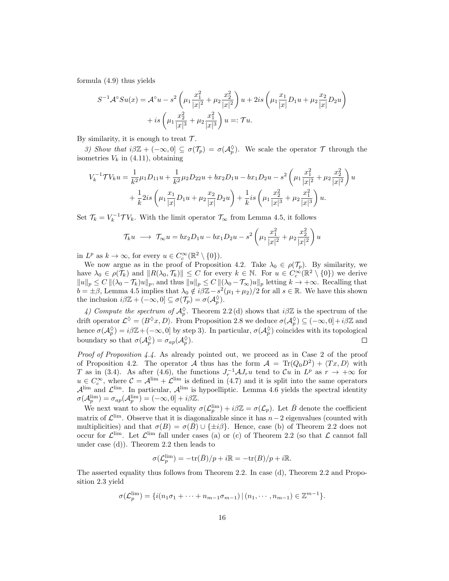formula (4.9) thus yields

$$
S^{-1}A^{\circ}Su(x) = A^{\circ}u - s^2 \left(\mu_1 \frac{x_1^2}{|x|^2} + \mu_2 \frac{x_2^2}{|x|^2}\right)u + 2is \left(\mu_1 \frac{x_1}{|x|}D_1u + \mu_2 \frac{x_2}{|x|}D_2u\right) + is \left(\mu_1 \frac{x_2^2}{|x|^3} + \mu_2 \frac{x_1^2}{|x|^3}\right)u =: \mathcal{T}u.
$$

By similarity, it is enough to treat  $\mathcal{T}$ .

3) Show that  $i\beta\mathbb{Z}+(-\infty,0]\subseteq\sigma(\mathcal{T}_p)=\sigma(\mathcal{A}_p^{\Diamond})$ . We scale the operator  $\mathcal T$  through the isometries  $V_k$  in (4.11), obtaining

$$
V_k^{-1} \mathcal{T} V_k u = \frac{1}{k^2} \mu_1 D_{11} u + \frac{1}{k^2} \mu_2 D_{22} u + bx_2 D_1 u - bx_1 D_2 u - s^2 \left( \mu_1 \frac{x_1^2}{|x|^2} + \mu_2 \frac{x_2^2}{|x|^2} \right) u
$$
  
+ 
$$
\frac{1}{k} 2is \left( \mu_1 \frac{x_1}{|x|} D_1 u + \mu_2 \frac{x_2}{|x|} D_2 u \right) + \frac{1}{k} is \left( \mu_1 \frac{x_2^2}{|x|^3} + \mu_2 \frac{x_1^2}{|x|^3} \right) u.
$$

Set  $\mathcal{T}_k = V_k^{-1} \mathcal{T} V_k$ . With the limit operator  $\mathcal{T}_{\infty}$  from Lemma 4.5, it follows

$$
\mathcal{T}_{k}u \ \longrightarrow \ \mathcal{T}_{\infty}u = bx_{2}D_{1}u - bx_{1}D_{2}u - s^{2}\left(\mu_{1}\frac{x_{1}^{2}}{|x|^{2}} + \mu_{2}\frac{x_{2}^{2}}{|x|^{2}}\right)u
$$

in  $L^p$  as  $k \to \infty$ , for every  $u \in C_c^{\infty}(\mathbb{R}^2 \setminus \{0\})$ .

We now argue as in the proof of Proposition 4.2. Take  $\lambda_0 \in \rho(\mathcal{T}_p)$ . By similarity, we have  $\lambda_0 \in \rho(\mathcal{T}_k)$  and  $||R(\lambda_0, \mathcal{T}_k)|| \leq C$  for every  $k \in \mathbb{N}$ . For  $u \in C_c^{\infty}(\mathbb{R}^2 \setminus \{0\})$  we derive  $||u||_p \leq C ||(\lambda_0 - \mathcal{T}_k)u||_p$ , and thus  $||u||_p \leq C ||(\lambda_0 - \mathcal{T}_\infty)u||_p$  letting  $k \to +\infty$ . Recalling that  $b = \pm \beta$ , Lemma 4.5 implies that  $\lambda_0 \notin i\beta\mathbb{Z} - s^2(\mu_1 + \mu_2)/2$  for all  $s \in \mathbb{R}$ . We have this shown the inclusion  $i\beta \mathbb{Z} + (-\infty, 0] \subseteq \sigma(\mathcal{T}_p) = \sigma(\mathcal{A}_p^{\Diamond}).$ 

4) Compute the spectrum of  $\mathcal{A}_{p}^{\lozenge}$ . Theorem 2.2(d) shows that  $i\beta\mathbb{Z}$  is the spectrum of the drift operator  $\mathcal{L}^{\lozenge} = \langle B^{\lozenge} x, D \rangle$ . From Proposition 2.8 we deduce  $\sigma(\mathcal{A}_p^{\lozenge}) \subseteq (-\infty, 0] + i\beta \mathbb{Z}$  and hence  $\sigma(A_p^{\Diamond}) = i\beta\mathbb{Z} + (-\infty, 0]$  by step 3). In particular,  $\sigma(A_p^{\Diamond})$  coincides with its topological boundary so that  $\sigma(\mathcal{A}_p^{\Diamond}) = \sigma_{ap}(\mathcal{A}_p^{\Diamond}).$  $\Box$ 

Proof of Proposition 4.4. As already pointed out, we proceed as in Case 2 of the proof of Proposition 4.2. The operator A thus has the form  $A = Tr(Q_0 D^2) + \langle Tx, D \rangle$  with T as in (3.4). As after (4.6), the functions  $J_r^{-1}A J_r u$  tend to  $\mathcal{C}u$  in  $L^p$  as  $r \to +\infty$  for  $u \in C_c^{\infty}$ , where  $C = A^{\lim} + \mathcal{L}^{\lim}$  is defined in (4.7) and it is split into the same operators  $\mathcal{A}^{\text{lim}}$  and  $\mathcal{L}^{\text{lim}}$ . In particular,  $\mathcal{A}^{\text{lim}}$  is hypoelliptic. Lemma 4.6 yields the spectral identity  $\sigma(\mathcal{A}_p^{\text{lim}}) = \sigma_{ap}(\mathcal{A}_p^{\text{lim}}) = (-\infty,0] + i\beta\mathbb{Z}.$ 

We next want to show the equality  $\sigma(\mathcal{L}_p^{\text{lim}}) + i\beta \mathbb{Z} = \sigma(\mathcal{L}_p)$ . Let  $\bar{B}$  denote the coefficient matrix of  $\mathcal{L}^{\text{lim}}$ . Observe that it is diagonalizable since it has  $n-2$  eigenvalues (counted with multiplicities) and that  $\sigma(B) = \sigma(\bar{B}) \cup {\{\pm i\beta\}}$ . Hence, case (b) of Theorem 2.2 does not occur for  $\mathcal{L}^{\text{lim}}$ . Let  $\mathcal{L}^{\text{lim}}$  fall under cases (a) or (c) of Theorem 2.2 (so that  $\mathcal{L}$  cannot fall under case (d)). Theorem 2.2 then leads to

$$
\sigma(\mathcal{L}_p^{\text{lim}}) = -\text{tr}(\bar{B})/p + i\mathbb{R} = -\text{tr}(B)/p + i\mathbb{R}.
$$

The asserted equality thus follows from Theorem 2.2. In case (d), Theorem 2.2 and Proposition 2.3 yield

$$
\sigma(\mathcal{L}_p^{\text{lim}}) = \{i(n_1\sigma_1 + \dots + n_{m-1}\sigma_{m-1}) \,|\, (n_1, \dots, n_{m-1}) \in \mathbb{Z}^{m-1}\}.
$$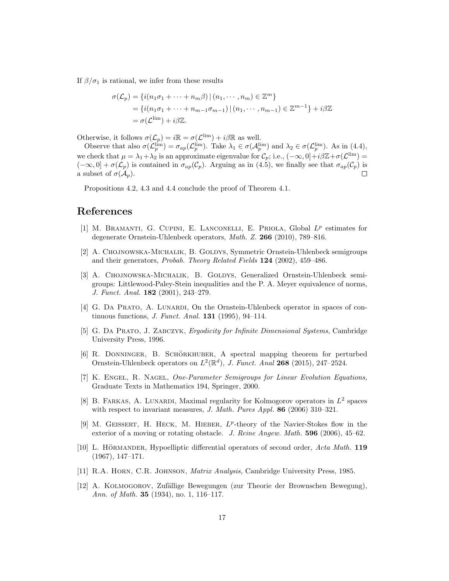If  $\beta/\sigma_1$  is rational, we infer from these results

$$
\sigma(\mathcal{L}_p) = \{ i(n_1\sigma_1 + \dots + n_m\beta) | (n_1, \dots, n_m) \in \mathbb{Z}^m \}
$$
  
= 
$$
\{ i(n_1\sigma_1 + \dots + n_{m-1}\sigma_{m-1}) | (n_1, \dots, n_{m-1}) \in \mathbb{Z}^{m-1} \} + i\beta \mathbb{Z}
$$
  
= 
$$
\sigma(\mathcal{L}^{\text{lim}}) + i\beta \mathbb{Z}.
$$

Otherwise, it follows  $\sigma(\mathcal{L}_p) = i\mathbb{R} = \sigma(\mathcal{L}^{\text{lim}}) + i\beta\mathbb{R}$  as well.

Observe that also  $\sigma(\mathcal{L}_p^{\text{lim}}) = \sigma_{ap}(\mathcal{L}_p^{\text{lim}})$ . Take  $\lambda_1 \in \sigma(\mathcal{A}_p^{\text{lim}})$  and  $\lambda_2 \in \sigma(\mathcal{L}_p^{\text{lim}})$ . As in (4.4), we check that  $\mu = \lambda_1 + \lambda_2$  is an approximate eigenvalue for  $\mathcal{C}_p$ ; i.e.,  $(-\infty, 0] + i\beta \mathbb{Z} + \sigma(\mathcal{L}^{\text{lim}}) =$  $(-\infty, 0] + \sigma(\mathcal{L}_p)$  is contained in  $\sigma_{ap}(\mathcal{C}_p)$ . Arguing as in (4.5), we finally see that  $\sigma_{ap}(\mathcal{C}_p)$  is a subset of  $\sigma(\mathcal{A}_p)$ .  $\Box$ 

Propositions 4.2, 4.3 and 4.4 conclude the proof of Theorem 4.1.

## References

- [1] M. BRAMANTI, G. CUPINI, E. LANCONELLI, E. PRIOLA, Global  $L^p$  estimates for degenerate Ornstein-Uhlenbeck operators, Math. Z. 266 (2010), 789–816.
- [2] A. CHOJNOWSKA-MICHALIK, B. GOLDYS, Symmetric Ornstein-Uhlenbeck semigroups and their generators, Probab. Theory Related Fields 124 (2002), 459–486.
- [3] A. CHOJNOWSKA-MICHALIK, B. GOLDYS, Generalized Ornstein-Uhlenbeck semigroups: Littlewood-Paley-Stein inequalities and the P. A. Meyer equivalence of norms, J. Funct. Anal. 182 (2001), 243–279.
- [4] G. Da Prato, A. Lunardi, On the Ornstein-Uhlenbeck operator in spaces of continuous functions, J. Funct. Anal. 131 (1995), 94–114.
- [5] G. Da Prato, J. Zabczyk, Ergodicity for Infinite Dimensional Systems, Cambridge University Press, 1996.
- [6] R. DONNINGER, B. SCHÖRKHUBER, A spectral mapping theorem for perturbed Ornstein-Uhlenbeck operators on  $L^2(\mathbb{R}^d)$ , J. Funct. Anal 268 (2015), 247-2524.
- [7] K. Engel, R. Nagel, One-Parameter Semigroups for Linear Evolution Equations, Graduate Texts in Mathematics 194, Springer, 2000.
- [8] B. FARKAS, A. LUNARDI, Maximal regularity for Kolmogorov operators in  $L^2$  spaces with respect to invariant measures, J. Math. Pures Appl. 86 (2006) 310–321.
- [9] M. GEISSERT, H. HECK, M. HIEBER,  $L^p$ -theory of the Navier-Stokes flow in the exterior of a moving or rotating obstacle. J. Reine Angew. Math. **596** (2006), 45–62.
- [10] L. HÖRMANDER, Hypoelliptic differential operators of second order,  $Acta Math. 119$ (1967), 147–171.
- [11] R.A. Horn, C.R. Johnson, Matrix Analysis, Cambridge University Press, 1985.
- [12] A. KOLMOGOROV, Zufällige Bewegungen (zur Theorie der Brownschen Bewegung), Ann. of Math. **35** (1934), no. 1, 116-117.